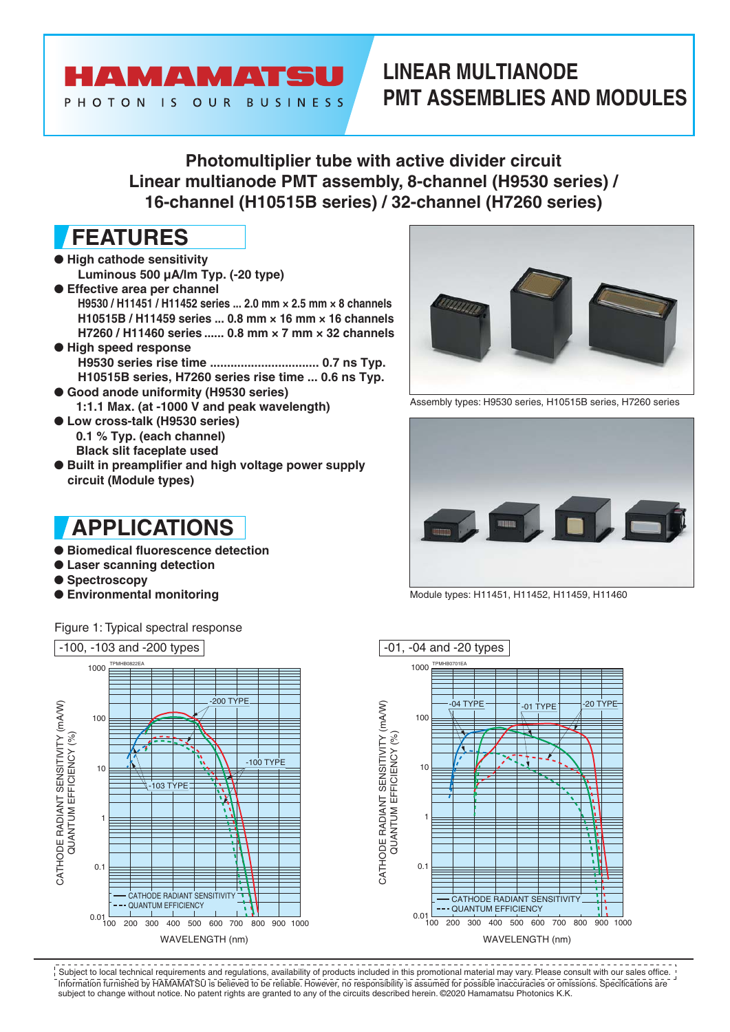### HAMAMATSU PHOTON IS OUR BUSINESS

### **LINEAR MULTIANODE PMT ASSEMBLIES AND MODULES**

**Photomultiplier tube with active divider circuit Linear multianode PMT assembly, 8-channel (H9530 series) / 16-channel (H10515B series) / 32-channel (H7260 series)**

## **FEATURES**

- **High cathode sensitivity Luminous 500 µA/lm Typ. (-20 type)**
- **Effective area per channel H9530 / H11451 / H11452 series ... 2.0 mm × 2.5 mm × 8 channels H10515B / H11459 series ... 0.8 mm × 16 mm × 16 channels H7260 / H11460 series ...... 0.8 mm × 7 mm × 32 channels**
- **High speed response H9530 series rise time ................................ 0.7 ns Typ. H10515B series, H7260 series rise time ... 0.6 ns Typ.**
- **Good anode uniformity (H9530 series) 1:1.1 Max. (at -1000 V and peak wavelength)**
- **Low cross-talk (H9530 series) 0.1 % Typ. (each channel) Black slit faceplate used**
- **Built in preamplifier and high voltage power supply circuit (Module types)**

### **APPLICATIONS**

- **Biomedical fluorescence detection**
- **Laser scanning detection**
- **Spectroscopy**
- **Environmental monitoring**

Figure 1: Typical spectral response





Assembly types: H9530 series, H10515B series, H7260 series



Module types: H11451, H11452, H11459, H11460





Information furnished by HAMAMATSU is believed to be reliable. However, no responsibility is assumed for possible inaccuracies or omissions. Specifications are subject to change without notice. No patent rights are granted to any of the circuits described herein. ©2020 Hamamatsu Photonics K.K. Subject to local technical requirements and regulations, availability of products included in this promotional material may vary. Please consult with our sales office.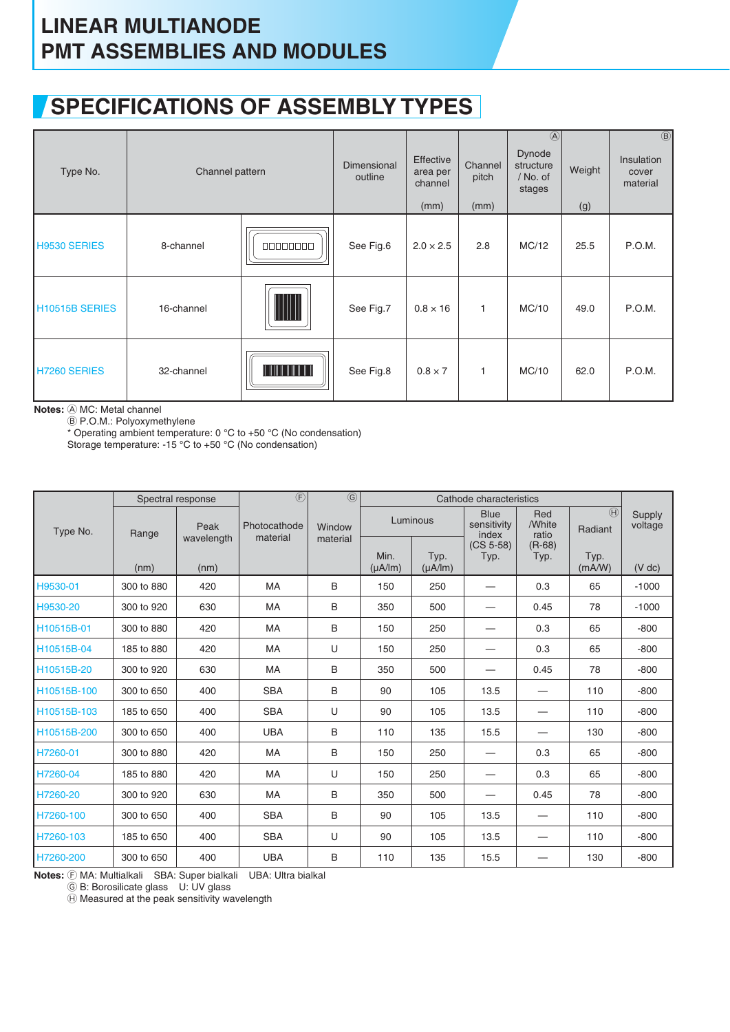### **SPECIFICATIONS OF ASSEMBLY TYPES**

| Type No.                    | Channel pattern |                  | Dimensional<br>outline | Effective<br>area per<br>channel<br>(mm) | Channel<br>pitch<br>(mm) | $\circledA$<br>Dynode<br>structure<br>/ No. of<br>stages | Weight<br>(g) | $\circledR$<br><b>Insulation</b><br>cover<br>material |
|-----------------------------|-----------------|------------------|------------------------|------------------------------------------|--------------------------|----------------------------------------------------------|---------------|-------------------------------------------------------|
| H9530 SERIES                | 8-channel       | 00000000         | See Fig.6              | $2.0 \times 2.5$                         | 2.8                      | MC/12                                                    | 25.5          | P.O.M.                                                |
| H <sub>10515</sub> B SERIES | 16-channel      |                  | See Fig.7              | $0.8 \times 16$                          | 1                        | MC/10                                                    | 49.0          | P.O.M.                                                |
| H7260 SERIES                | 32-channel      | <u> Timba ka</u> | See Fig.8              | $0.8 \times 7$                           | 1                        | MC/10                                                    | 62.0          | P.O.M.                                                |

**Notes:** A MC: Metal channel

 $\overline{\circledB}$  P.O.M.: Polyoxymethylene

\* Operating ambient temperature: 0 °C to +50 °C (No condensation)

Storage temperature: -15 °C to +50 °C (No condensation)

|             |            | Spectral response  | $\circled{f}$            | $\overline{G}$     |                               |                      | Cathode characteristics             |                        |                          |                   |
|-------------|------------|--------------------|--------------------------|--------------------|-------------------------------|----------------------|-------------------------------------|------------------------|--------------------------|-------------------|
| Type No.    | Range      | Peak<br>wavelength | Photocathode<br>material | Window<br>material |                               | Luminous             | <b>Blue</b><br>sensitivity<br>index | Red<br>/White<br>ratio | $\circled{H}$<br>Radiant | Supply<br>voltage |
|             | (nm)       | (nm)               |                          |                    | Min.<br>$(\mu A / \text{Im})$ | Typ.<br>$(\mu A/Im)$ | $(CS 5-58)$<br>Typ.                 | $(R-68)$<br>Typ.       | Typ.<br>(mA/W)           | $(V$ dc)          |
| H9530-01    | 300 to 880 | 420                | MA                       | B                  | 150                           | 250                  | —                                   | 0.3                    | 65                       | $-1000$           |
| H9530-20    | 300 to 920 | 630                | <b>MA</b>                | B                  | 350                           | 500                  | —                                   | 0.45                   | 78                       | $-1000$           |
| H10515B-01  | 300 to 880 | 420                | MA                       | B                  | 150                           | 250                  | —                                   | 0.3                    | 65                       | $-800$            |
| H10515B-04  | 185 to 880 | 420                | <b>MA</b>                | U                  | 150                           | 250                  | —                                   | 0.3                    | 65                       | $-800$            |
| H10515B-20  | 300 to 920 | 630                | <b>MA</b>                | B                  | 350                           | 500                  | —                                   | 0.45                   | 78                       | $-800$            |
| H10515B-100 | 300 to 650 | 400                | <b>SBA</b>               | B                  | 90                            | 105                  | 13.5                                | —                      | 110                      | $-800$            |
| H10515B-103 | 185 to 650 | 400                | <b>SBA</b>               | U                  | 90                            | 105                  | 13.5                                |                        | 110                      | $-800$            |
| H10515B-200 | 300 to 650 | 400                | <b>UBA</b>               | B                  | 110                           | 135                  | 15.5                                | —                      | 130                      | $-800$            |
| H7260-01    | 300 to 880 | 420                | <b>MA</b>                | B                  | 150                           | 250                  |                                     | 0.3                    | 65                       | $-800$            |
| H7260-04    | 185 to 880 | 420                | MA                       | U                  | 150                           | 250                  | —                                   | 0.3                    | 65                       | $-800$            |
| H7260-20    | 300 to 920 | 630                | <b>MA</b>                | B                  | 350                           | 500                  |                                     | 0.45                   | 78                       | $-800$            |
| H7260-100   | 300 to 650 | 400                | <b>SBA</b>               | B                  | 90                            | 105                  | 13.5                                | —                      | 110                      | $-800$            |
| H7260-103   | 185 to 650 | 400                | <b>SBA</b>               | U                  | 90                            | 105                  | 13.5                                | —                      | 110                      | $-800$            |
| H7260-200   | 300 to 650 | 400                | <b>UBA</b>               | B                  | 110                           | 135                  | 15.5                                |                        | 130                      | $-800$            |

**Notes:**  $\overline{\text{F}}$  MA: Multialkali SBA: Super bialkali UBA: Ultra bialkal

G B: Borosilicate glass U: UV glass

 $\widetilde{\Theta}$  Measured at the peak sensitivity wavelength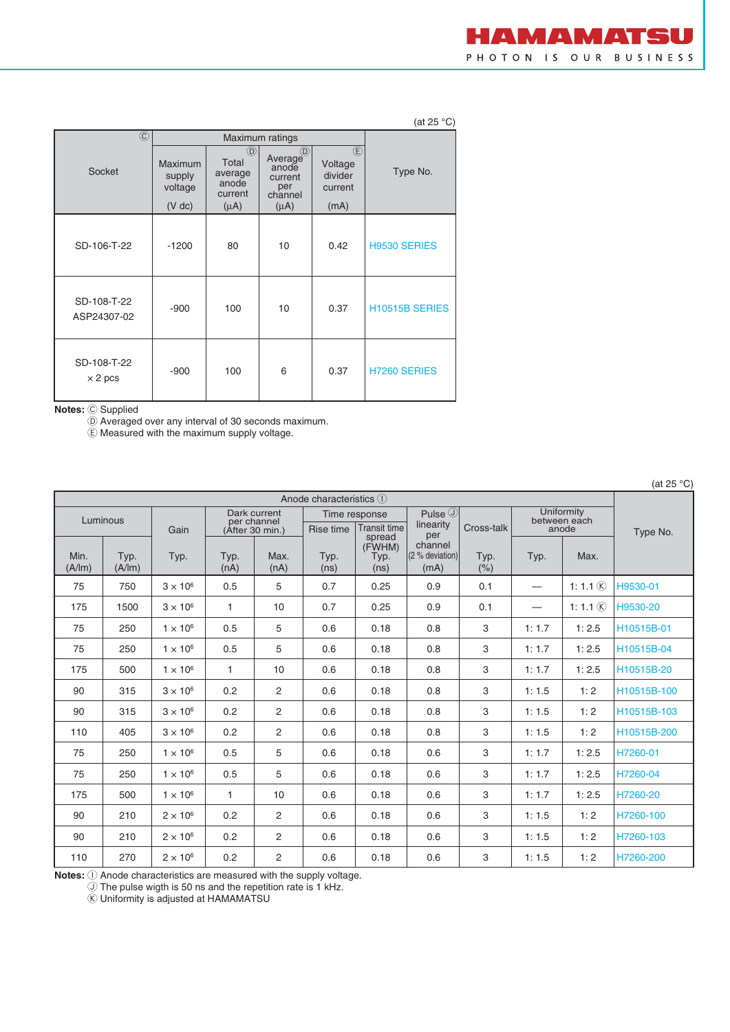|                      | HAMAMATSU              |  |  |  |
|----------------------|------------------------|--|--|--|
|                      | PHOTON IS OUR BUSINESS |  |  |  |
|                      |                        |  |  |  |
|                      |                        |  |  |  |
| (at 25 $^{\circ}$ C) |                        |  |  |  |

| $\circled{c}$                 |                                                 |                                                                  | Maximum ratings                                                                    |                                                     |                     |
|-------------------------------|-------------------------------------------------|------------------------------------------------------------------|------------------------------------------------------------------------------------|-----------------------------------------------------|---------------------|
| Socket                        | <b>Maximum</b><br>supply<br>voltage<br>$(V$ dc) | $\circledR$<br>Total<br>average<br>anode<br>current<br>$(\mu A)$ | Average <sup><sup>D</sup></sup><br>anode<br>current<br>per<br>channel<br>$(\mu A)$ | $\circled$<br>Voltage<br>divider<br>current<br>(mA) | Type No.            |
| SD-106-T-22                   | $-1200$                                         | 80                                                               | 10                                                                                 | 0.42                                                | <b>H9530 SERIES</b> |
| SD-108-T-22<br>ASP24307-02    | $-900$                                          | 100                                                              | 10                                                                                 | 0.37                                                | H10515B SERIES      |
| SD-108-T-22<br>$\times$ 2 pcs | $-900$                                          | 100                                                              | 6                                                                                  | 0.37                                                | <b>H7260 SERIES</b> |

**Notes:** C Supplied

D Averaged over any interval of 30 seconds maximum.

E Measured with the maximum supply voltage.

| Anode characteristics (1) |                |                 |              |                                |              |                                  |                                           |              |       |                       |             |  |  |
|---------------------------|----------------|-----------------|--------------|--------------------------------|--------------|----------------------------------|-------------------------------------------|--------------|-------|-----------------------|-------------|--|--|
|                           |                |                 |              | Dark current                   |              | Time response                    | Pulse $\circledcirc$                      |              |       | Uniformity            |             |  |  |
|                           | Luminous       | Gain            |              | per channel<br>(After 30 min.) | Rise time    | <b>Transit time</b>              | linearity                                 | Cross-talk   |       | between each<br>anode | Type No.    |  |  |
| Min.<br>(A/Im)            | Typ.<br>(A/Im) | Typ.            | Typ.<br>(nA) | Max.<br>(nA)                   | Typ.<br>(ns) | spread<br>(FWHM)<br>Typ.<br>(ns) | per<br>channel<br>(2 % deviation)<br>(mA) | Typ.<br>(% ) | Typ.  | Max.                  |             |  |  |
| 75                        | 750            | $3 \times 10^6$ | 0.5          | 5                              | 0.7          | 0.25                             | 0.9                                       | 0.1          | —     | 1:1.1 $\circledR$     | H9530-01    |  |  |
| 175                       | 1500           | $3 \times 10^6$ | $\mathbf{1}$ | 10                             | 0.7          | 0.25                             | 0.9                                       | 0.1          |       | 1: 1.1 $(R)$          | H9530-20    |  |  |
| 75                        | 250            | $1 \times 10^6$ | 0.5          | 5                              | 0.6          | 0.18                             | 0.8                                       | 3            | 1:1.7 | 1:2.5                 | H10515B-01  |  |  |
| 75                        | 250            | $1 \times 10^6$ | 0.5          | 5                              | 0.6          | 0.18                             | 0.8                                       | 3            | 1:1.7 | 1:2.5                 | H10515B-04  |  |  |
| 175                       | 500            | $1 \times 10^6$ | $\mathbf{1}$ | 10                             | 0.6          | 0.18                             | 0.8                                       | 3            | 1:1.7 | 1:2.5                 | H10515B-20  |  |  |
| 90                        | 315            | $3 \times 10^6$ | 0.2          | 2                              | 0.6          | 0.18                             | 0.8                                       | 3            | 1:1.5 | 1:2                   | H10515B-100 |  |  |
| 90                        | 315            | $3 \times 10^6$ | 0.2          | $\overline{2}$                 | 0.6          | 0.18                             | 0.8                                       | 3            | 1:1.5 | 1:2                   | H10515B-103 |  |  |
| 110                       | 405            | $3 \times 10^6$ | 0.2          | 2                              | 0.6          | 0.18                             | 0.8                                       | 3            | 1:1.5 | 1:2                   | H10515B-200 |  |  |
| 75                        | 250            | $1 \times 10^6$ | 0.5          | 5                              | 0.6          | 0.18                             | 0.6                                       | 3            | 1:1.7 | 1:2.5                 | H7260-01    |  |  |
| 75                        | 250            | $1 \times 10^6$ | 0.5          | 5                              | 0.6          | 0.18                             | 0.6                                       | 3            | 1:1.7 | 1:2.5                 | H7260-04    |  |  |
| 175                       | 500            | $1 \times 10^6$ | 1            | 10                             | 0.6          | 0.18                             | 0.6                                       | 3            | 1:1.7 | 1:2.5                 | H7260-20    |  |  |
| 90                        | 210            | $2 \times 10^6$ | 0.2          | 2                              | 0.6          | 0.18                             | 0.6                                       | 3            | 1:1.5 | 1:2                   | H7260-100   |  |  |
| 90                        | 210            | $2 \times 10^6$ | 0.2          | 2                              | 0.6          | 0.18                             | 0.6                                       | 3            | 1:1.5 | 1:2                   | H7260-103   |  |  |
| 110                       | 270            | $2 \times 10^6$ | 0.2          | 2                              | 0.6          | 0.18                             | 0.6                                       | 3            | 1:1.5 | 1:2                   | H7260-200   |  |  |

**Notes:**  $\bigcirc$  Anode characteristics are measured with the supply voltage.

 $\overline{10}$  The pulse wigth is 50 ns and the repetition rate is 1 kHz.

 $\overline{\textcircled{k}}$  Uniformity is adjusted at HAMAMATSU

(at  $25 \text{ }^\circ \text{C}$ )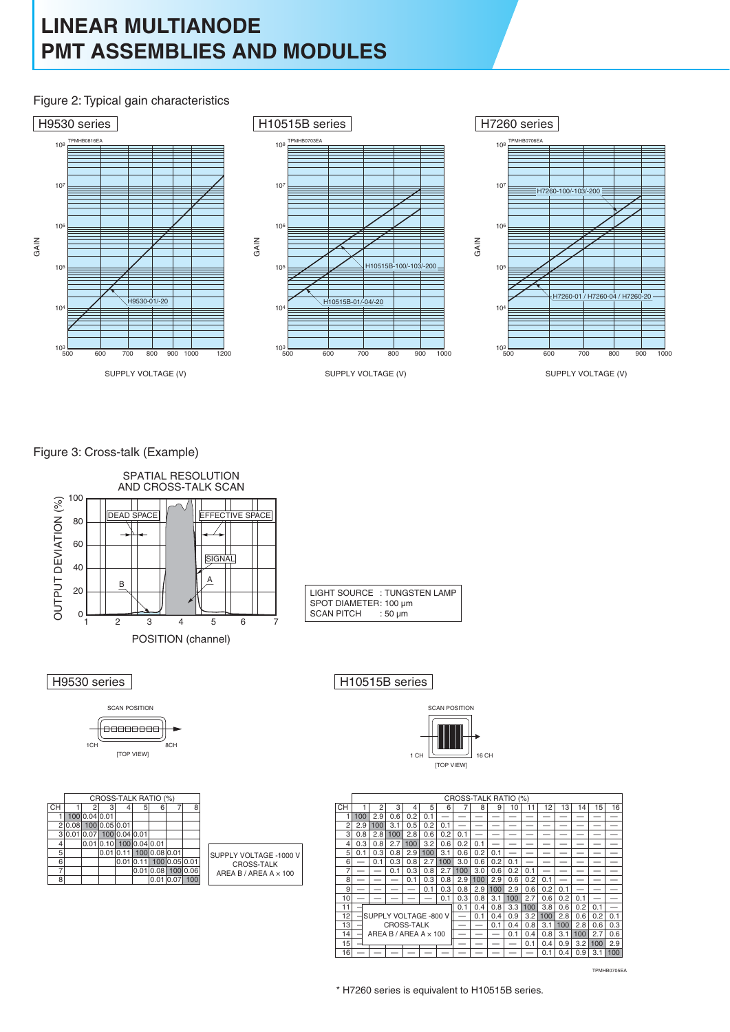#### Figure 2: Typical gain characteristics



Figure 3: Cross-talk (Example)





|                |      |               |               | CROSS-TALK RATIO (%) |                  |           |               |          |                              |
|----------------|------|---------------|---------------|----------------------|------------------|-----------|---------------|----------|------------------------------|
| <b>CH</b>      |      |               | 3             |                      | 5                | 6         |               | 8        |                              |
|                |      | 100 0.04 0.01 |               |                      |                  |           |               |          |                              |
| $\overline{2}$ | 0.08 |               | 100 0.05 0.01 |                      |                  |           |               |          |                              |
| 3              |      |               |               | 100 0.04 0.01        |                  |           |               |          |                              |
| 4              |      | 0.01          | 0.10          |                      | 100 0.04 0.01    |           |               |          |                              |
| 5              |      |               | 0.01          |                      | 100 <sub>l</sub> | 0.08 0.01 |               |          | SUPPLY VOLTAGE -1000 V       |
| 6              |      |               |               | 0.01                 |                  |           | 100 0.05 0.01 |          | <b>CROSS-TALK</b>            |
| 7              |      |               |               |                      | 0.01             | 0.08      |               | 100 0.06 | AREA B / AREA A $\times$ 100 |
| 8              |      |               |               |                      |                  | 0.01      |               | 100      |                              |

H<sub>10530</sub> series H<sub>10515B</sub> series

: TUNGSTEN LAMP : 100 µm  $: 50 \mu m$ 



|                | <b>CROSS-TALK RATIO</b><br>(% ) |                   |     |     |                       |     |     |     |     |     |     |     |     |     |     |     |
|----------------|---------------------------------|-------------------|-----|-----|-----------------------|-----|-----|-----|-----|-----|-----|-----|-----|-----|-----|-----|
| CH             |                                 | 2                 | 3   | 4   | 5                     | 6   |     | 8   | 9   | 10  | 11  | 12  | 13  | 14  | 15  | 16  |
| 1              | 100                             | 2.9               | 0.6 | 0.2 | 0.1                   |     |     |     |     |     |     |     |     |     |     |     |
| $\overline{c}$ | 2.9                             | 100               | 3.1 | 0.5 | 0.2                   | 0.1 |     |     |     |     |     |     |     |     |     |     |
| 3              | 0.8                             | 2.8               | 100 | 2.8 | 0.6                   | 0.2 | 0.1 |     |     |     |     |     |     |     |     |     |
| 4              | 0.3                             | 0.8               | 2.7 | 100 | 3.2                   | 0.6 | 0.2 | 0.1 |     |     |     |     |     |     |     |     |
| 5              | 0.1                             | 0.3               | 0.8 | 2.9 | 100                   | 3.1 | 0.6 | 0.2 | 0.1 |     |     |     |     |     |     |     |
| 6              |                                 | 0.1               | 0.3 | 0.8 | 2.7                   | 100 | 3.0 | 0.6 | 0.2 | 0.1 |     |     |     |     |     |     |
| 7              |                                 |                   | 0.1 | 0.3 | 0.8                   | 2.7 | 100 | 3.0 | 0.6 | 0.2 | 0.1 |     |     |     |     |     |
| 8              |                                 |                   |     | 0.1 | 0.3                   | 0.8 | 2.9 | 100 | 2.9 | 0.6 | 0.2 | 0.1 |     |     |     |     |
| 9              |                                 |                   |     |     | 0.1                   | 0.3 | 0.8 | 2.9 | 100 | 2.9 | 0.6 | 0.2 | 0.1 |     |     |     |
| 10             |                                 |                   |     |     |                       | 0.1 | 0.3 | 0.8 | 3.1 | 100 | 2.7 | 0.6 | 0.2 | 0.1 |     |     |
| 11             |                                 |                   |     |     |                       |     | 0.1 | 0.4 | 0.8 | 3.3 | 100 | 3.8 | 0.6 | 0.2 | 0.1 |     |
| 12             |                                 |                   |     |     | SUPPLY VOLTAGE -800 V |     |     | 0.1 | 0.4 | 0.9 | 3.2 | 100 | 2.8 | 0.6 | 0.2 | 0.1 |
| 13             |                                 | <b>CROSS-TALK</b> |     |     |                       |     |     |     | 0.1 | 0.4 | 0.8 | 3.1 | 100 | 2.8 | 0.6 | 0.3 |
| 14             | AREA B / AREA A $\times$ 100    |                   |     |     |                       |     |     |     |     | 0.1 | 0.4 | 0.8 | 3.1 | 100 | 2.7 | 0.6 |
| 15             |                                 |                   |     |     |                       |     |     |     |     |     | 0.1 | 0.4 | 0.9 | 3.2 | 100 | 2.9 |
| 16             |                                 |                   |     |     |                       |     |     |     |     |     |     | 0.1 | 0.4 | 0.9 | 3.1 | 100 |

TPMHB0705EA

\* H7260 series is equivalent to H10515B series.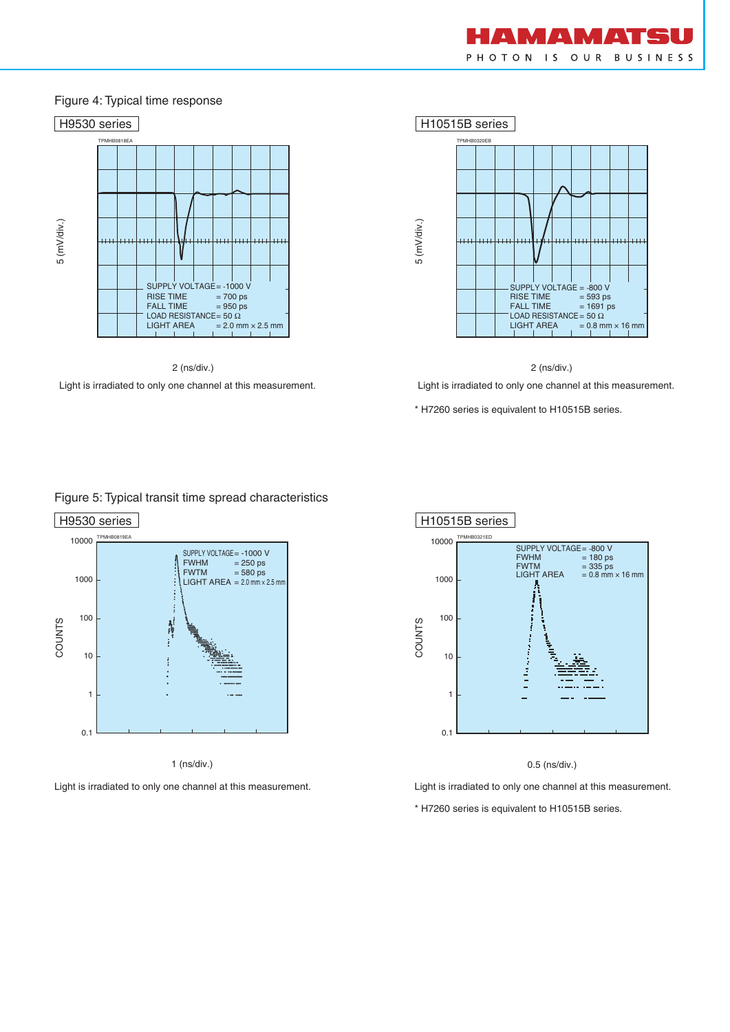

#### Figure 4: Typical time response



2 (ns/div.)

Light is irradiated to only one channel at this measurement.





Light is irradiated to only one channel at this measurement.

\* H7260 series is equivalent to H10515B series.

#### Figure 5: Typical transit time spread characteristics





0.5 (ns/div.)

Light is irradiated to only one channel at this measurement. Light is irradiated to only one channel at this measurement.

\* H7260 series is equivalent to H10515B series.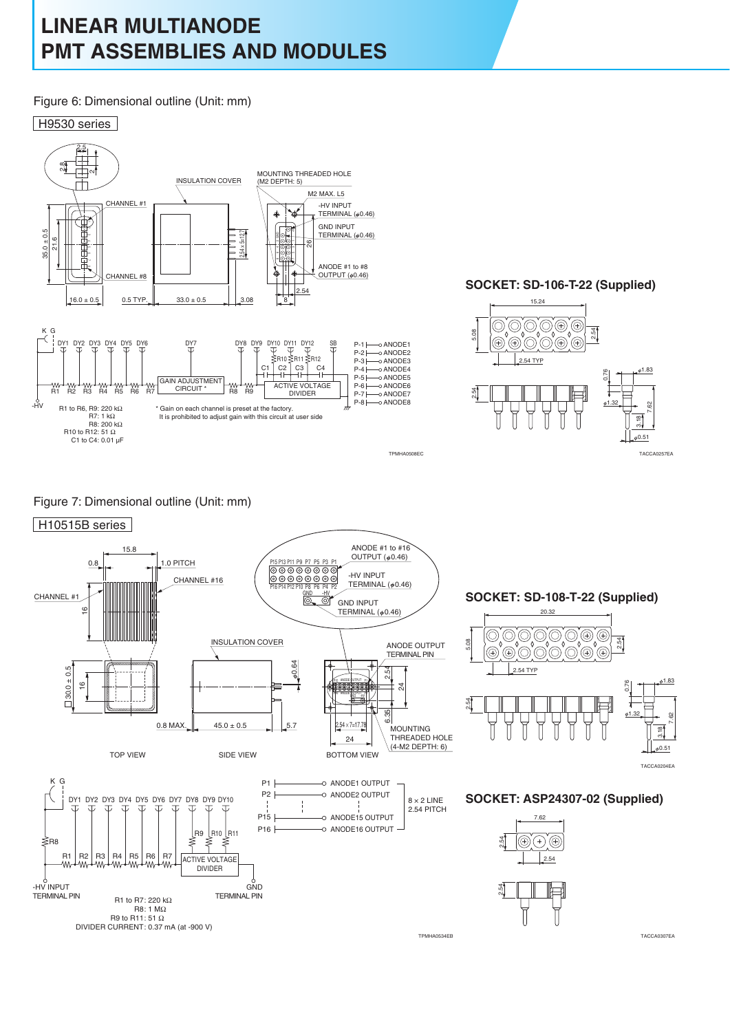Figure 6: Dimensional outline (Unit: mm)



#### **SOCKET: SD-106-T-22 (Supplied)**



#### Figure 7: Dimensional outline (Unit: mm)



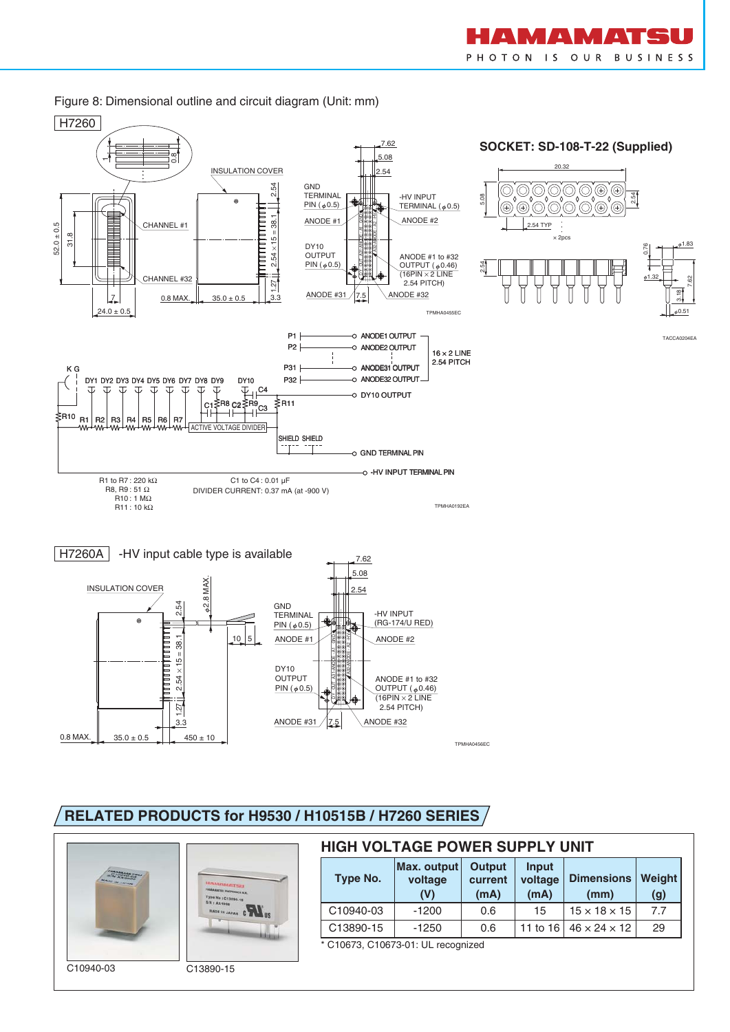

7.62

#### Figure 8: Dimensional outline and circuit diagram (Unit: mm)





### **RELATED PRODUCTS for H9530 / H10515B / H7260 SERIES**



| <b>HIGH VOLTAGE POWER SUPPLY UNIT</b>                                      |                               |                                  |                          |                           |               |  |  |  |  |  |  |  |
|----------------------------------------------------------------------------|-------------------------------|----------------------------------|--------------------------|---------------------------|---------------|--|--|--|--|--|--|--|
| Type No.                                                                   | Max. output<br>voltage<br>(V) | <b>Output</b><br>current<br>(mA) | Input<br>voltage<br>(mA) | <b>Dimensions</b><br>(mm) | Weight<br>(g) |  |  |  |  |  |  |  |
| C10940-03                                                                  | $-1200$                       | 0.6                              | 15                       | $15 \times 18 \times 15$  | 7.7           |  |  |  |  |  |  |  |
| C13890-15<br>29<br>11 to 16   46 $\times$ 24 $\times$ 12<br>$-1250$<br>0.6 |                               |                                  |                          |                           |               |  |  |  |  |  |  |  |
| * C10673 C10673-01 UL<br>recognized                                        |                               |                                  |                          |                           |               |  |  |  |  |  |  |  |

C10673, C10673-01: UL recognized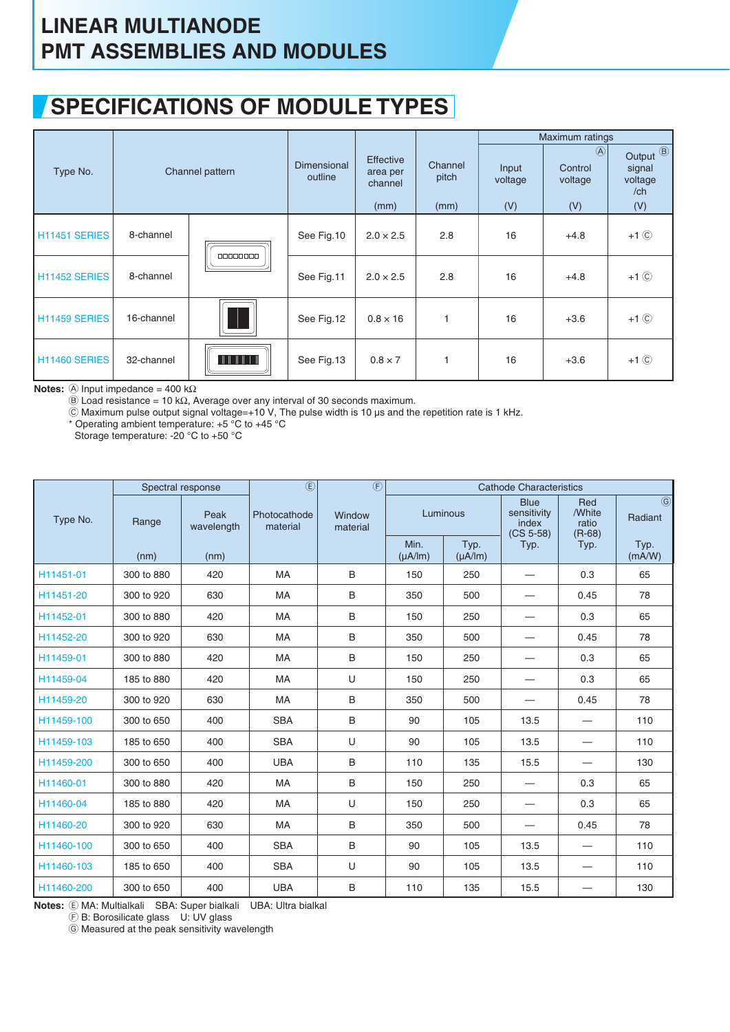### **SPECIFICATIONS OF MODULE TYPES**

|                           |            |                 |                        |                                                 |                          |                         | Maximum ratings                            |                                                                   |
|---------------------------|------------|-----------------|------------------------|-------------------------------------------------|--------------------------|-------------------------|--------------------------------------------|-------------------------------------------------------------------|
| Type No.                  |            | Channel pattern | Dimensional<br>outline | <b>Effective</b><br>area per<br>channel<br>(mm) | Channel<br>pitch<br>(mm) | Input<br>voltage<br>(V) | $\circled{A}$<br>Control<br>voltage<br>(V) | Output <sup><sup>3</sup></sup><br>signal<br>voltage<br>/ch<br>(V) |
| H <sub>11451</sub> SERIES | 8-channel  | 00000000        | See Fig.10             | $2.0 \times 2.5$                                | 2.8                      | 16                      | $+4.8$                                     | $+1$ $\circledcirc$                                               |
| H11452 SERIES             | 8-channel  |                 | See Fig.11             | $2.0 \times 2.5$                                | 2.8                      | 16                      | $+4.8$                                     | $+1$ $\odot$                                                      |
| H11459 SERIES             | 16-channel | W               | See Fig.12             | $0.8 \times 16$                                 |                          | 16                      | $+3.6$                                     | $+1$ $\circledcirc$                                               |
| H11460 SERIES             | 32-channel |                 | See Fig.13             | $0.8 \times 7$                                  |                          | 16                      | $+3.6$                                     | $+1$ $\circledcirc$                                               |

**Notes:**  $\textcircled{A}$  Input impedance = 400 kΩ

 $\widetilde{\Theta}$  Load resistance = 10 kΩ, Average over any interval of 30 seconds maximum.

 $\tilde{\odot}$  Maximum pulse output signal voltage=+10 V, The pulse width is 10 µs and the repetition rate is 1 kHz.

\* Operating ambient temperature: +5 °C to +45 °C

Storage temperature: -20 °C to +50 °C

|            | Spectral response |                    | $\overline{\mathbb{E}}$  | $\overline{\bigoplus}$ |                      |                        | <b>Cathode Characteristics</b>                     |                                    |                                                 |
|------------|-------------------|--------------------|--------------------------|------------------------|----------------------|------------------------|----------------------------------------------------|------------------------------------|-------------------------------------------------|
| Type No.   | Range             | Peak<br>wavelength | Photocathode<br>material | Window<br>material     | Luminous             |                        | <b>Blue</b><br>sensitivity<br>index<br>$(CS 5-58)$ | Red<br>/White<br>ratio<br>$(R-68)$ | $\overline{\textcircled{\textcirc}}$<br>Radiant |
|            | (nm)              | (nm)               |                          |                        | Min.<br>$(\mu A/Im)$ | Typ.<br>$(\mu A / Im)$ | Typ.                                               | Typ.                               | Typ.<br>(mA/W)                                  |
| H11451-01  | 300 to 880        | 420                | <b>MA</b>                | B                      | 150                  | 250                    | $\overline{\phantom{0}}$                           | 0.3                                | 65                                              |
| H11451-20  | 300 to 920        | 630                | <b>MA</b>                | B                      | 350                  | 500                    |                                                    | 0.45                               | 78                                              |
| H11452-01  | 300 to 880        | 420                | <b>MA</b>                | B                      | 150                  | 250                    |                                                    | 0.3                                | 65                                              |
| H11452-20  | 300 to 920        | 630                | <b>MA</b>                | B                      | 350                  | 500                    | -                                                  | 0.45                               | 78                                              |
| H11459-01  | 300 to 880        | 420                | <b>MA</b>                | B                      | 150                  | 250                    |                                                    | 0.3                                | 65                                              |
| H11459-04  | 185 to 880        | 420                | <b>MA</b>                | U                      | 150                  | 250                    | —                                                  | 0.3                                | 65                                              |
| H11459-20  | 300 to 920        | 630                | <b>MA</b>                | B                      | 350                  | 500                    |                                                    | 0.45                               | 78                                              |
| H11459-100 | 300 to 650        | 400                | <b>SBA</b>               | B                      | 90                   | 105                    | 13.5                                               | —                                  | 110                                             |
| H11459-103 | 185 to 650        | 400                | <b>SBA</b>               | U                      | 90                   | 105                    | 13.5                                               | --                                 | 110                                             |
| H11459-200 | 300 to 650        | 400                | <b>UBA</b>               | B                      | 110                  | 135                    | 15.5                                               |                                    | 130                                             |
| H11460-01  | 300 to 880        | 420                | MA                       | $\sf B$                | 150                  | 250                    |                                                    | 0.3                                | 65                                              |
| H11460-04  | 185 to 880        | 420                | <b>MA</b>                | U                      | 150                  | 250                    |                                                    | 0.3                                | 65                                              |
| H11460-20  | 300 to 920        | 630                | <b>MA</b>                | B                      | 350                  | 500                    |                                                    | 0.45                               | 78                                              |
| H11460-100 | 300 to 650        | 400                | <b>SBA</b>               | B                      | 90                   | 105                    | 13.5                                               |                                    | 110                                             |
| H11460-103 | 185 to 650        | 400                | <b>SBA</b>               | U                      | 90                   | 105                    | 13.5                                               | —                                  | 110                                             |
| H11460-200 | 300 to 650        | 400                | <b>UBA</b>               | B                      | 110                  | 135                    | 15.5                                               |                                    | 130                                             |

**Notes:** E MA: Multialkali SBA: Super bialkali UBA: Ultra bialkal

 $\widetilde{E}$  B: Borosilicate glass U: UV glass

G Measured at the peak sensitivity wavelength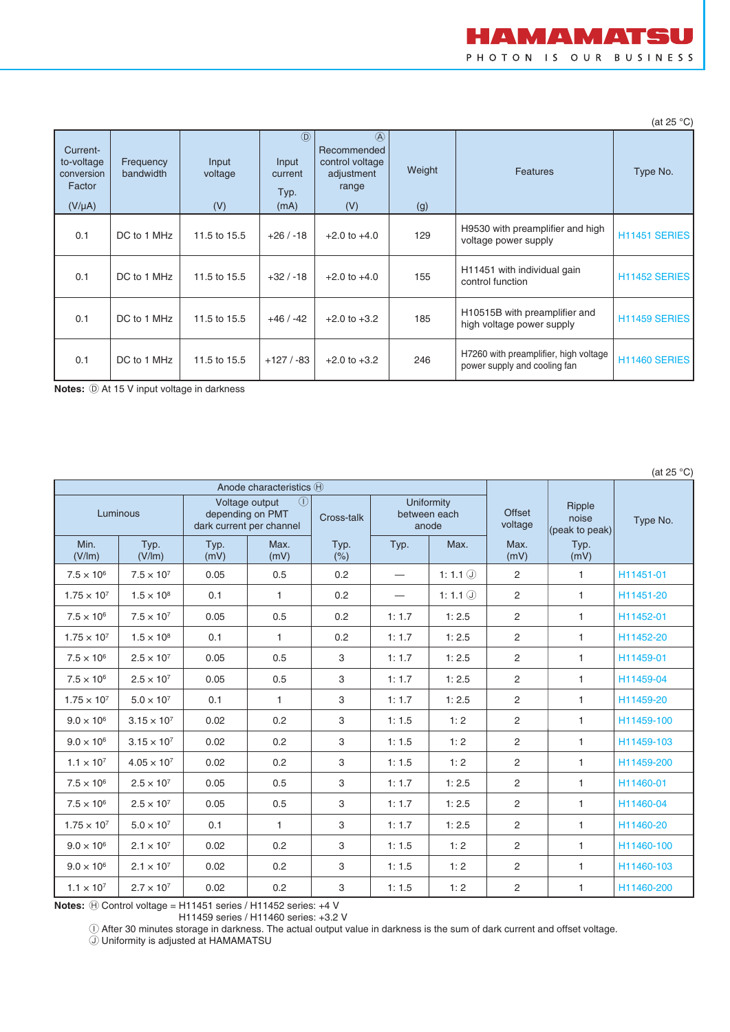

(at 25 °C)

| Current-<br>to-voltage<br>conversion<br>Factor<br>$(V/\mu A)$ | Frequency<br>bandwidth | Input<br>voltage<br>(V) | $\circled{D}$<br>Input<br>current<br>Typ.<br>(mA) | $\mathcal{A}$<br>Recommended<br>control voltage<br>adjustment<br>range<br>(V) | Weight<br>(g) | <b>Features</b>                                                         | Type No.             |
|---------------------------------------------------------------|------------------------|-------------------------|---------------------------------------------------|-------------------------------------------------------------------------------|---------------|-------------------------------------------------------------------------|----------------------|
| 0.1                                                           | DC to 1 MHz            | 11.5 to 15.5            | $+26/ -18$                                        | $+2.0$ to $+4.0$                                                              | 129           | H9530 with preamplifier and high<br>voltage power supply                | <b>H11451 SERIES</b> |
| 0.1                                                           | DC to 1 MHz            | 11.5 to 15.5            | $+32/ -18$                                        | $+2.0$ to $+4.0$                                                              | 155           | H11451 with individual gain<br>control function                         | <b>H11452 SERIES</b> |
| 0.1                                                           | DC to 1 MHz            | 11.5 to 15.5            | $+46/ -42$                                        | $+2.0$ to $+3.2$                                                              | 185           | H <sub>10515</sub> B with preamplifier and<br>high voltage power supply | <b>H11459 SERIES</b> |
| 0.1                                                           | DC to 1 MHz            | 11.5 to 15.5            | $+127/ -83$                                       | $+2.0$ to $+3.2$                                                              | 246           | H7260 with preamplifier, high voltage<br>power supply and cooling fan   | <b>H11460 SERIES</b> |

**Notes:**  $\textcircled{D}$  At 15 V input voltage in darkness

(at 25 °C)

|                      |                      | Anode characteristics (H) |                                                                   |             |                   |                                     |                          |                                   |            |
|----------------------|----------------------|---------------------------|-------------------------------------------------------------------|-------------|-------------------|-------------------------------------|--------------------------|-----------------------------------|------------|
| Luminous             |                      | dark current per channel  | $\left( \mathsf{I} \right)$<br>Voltage output<br>depending on PMT | Cross-talk  |                   | Uniformity<br>between each<br>anode | <b>Offset</b><br>voltage | Ripple<br>noise<br>(peak to peak) | Type No.   |
| Min.<br>(V/Im)       | Typ.<br>(V/Im)       | Typ.<br>(mV)              | Max.<br>(mV)                                                      | Typ.<br>(%) | Typ.              | Max.                                | Max.<br>(mV)             | Typ.<br>(mV)                      |            |
| $7.5 \times 10^{6}$  | $7.5 \times 10^{7}$  | 0.05                      | 0.5                                                               | 0.2         | $\hspace{0.05cm}$ | 1:1.1 $\circled{)}$                 | 2                        | $\mathbf{1}$                      | H11451-01  |
| $1.75 \times 10^{7}$ | $1.5 \times 10^{8}$  | 0.1                       | $\mathbf{1}$                                                      | 0.2         |                   | 1:1.1 $\circled{1}$                 | 2                        | $\mathbf{1}$                      | H11451-20  |
| $7.5 \times 10^{6}$  | $7.5 \times 10^{7}$  | 0.05                      | 0.5                                                               | 0.2         | 1:1.7             | 1:2.5                               | $\overline{2}$           | $\mathbf{1}$                      | H11452-01  |
| $1.75 \times 10^{7}$ | $1.5 \times 10^{8}$  | 0.1                       | $\mathbf{1}$                                                      | 0.2         | 1:1.7             | 1:2.5                               | $\overline{2}$           | $\mathbf{1}$                      | H11452-20  |
| $7.5 \times 10^{6}$  | $2.5 \times 10^{7}$  | 0.05                      | 0.5                                                               | 3           | 1:1.7             | 1:2.5                               | $\overline{2}$           | 1                                 | H11459-01  |
| $7.5 \times 10^{6}$  | $2.5 \times 10^{7}$  | 0.05                      | 0.5                                                               | 3           | 1:1.7             | 1:2.5                               | 2                        | $\mathbf{1}$                      | H11459-04  |
| $1.75 \times 10^{7}$ | $5.0 \times 10^{7}$  | 0.1                       | $\mathbf{1}$                                                      | 3           | 1:1.7             | 1:2.5                               | 2                        | $\mathbf{1}$                      | H11459-20  |
| $9.0 \times 10^{6}$  | $3.15 \times 10^{7}$ | 0.02                      | 0.2                                                               | 3           | 1:1.5             | 1:2                                 | $\overline{2}$           | $\mathbf{1}$                      | H11459-100 |
| $9.0 \times 10^{6}$  | $3.15 \times 10^{7}$ | 0.02                      | 0.2                                                               | 3           | 1:1.5             | 1:2                                 | $\overline{2}$           | $\mathbf{1}$                      | H11459-103 |
| $1.1 \times 10^{7}$  | $4.05 \times 10^{7}$ | 0.02                      | 0.2                                                               | 3           | 1:1.5             | 1:2                                 | $\mathbf{2}$             | $\mathbf{1}$                      | H11459-200 |
| $7.5 \times 10^{6}$  | $2.5 \times 10^{7}$  | 0.05                      | 0.5                                                               | 3           | 1:1.7             | 1:2.5                               | $\overline{2}$           | 1                                 | H11460-01  |
| $7.5 \times 10^{6}$  | $2.5 \times 10^{7}$  | 0.05                      | 0.5                                                               | 3           | 1:1.7             | 1:2.5                               | 2                        | $\mathbf{1}$                      | H11460-04  |
| $1.75 \times 10^{7}$ | $5.0 \times 10^{7}$  | 0.1                       | $\mathbf{1}$                                                      | 3           | 1:1.7             | 1:2.5                               | 2                        | $\mathbf{1}$                      | H11460-20  |
| $9.0 \times 10^{6}$  | $2.1 \times 10^{7}$  | 0.02                      | 0.2                                                               | 3           | 1:1.5             | 1:2                                 | $\overline{2}$           | $\mathbf{1}$                      | H11460-100 |
| $9.0 \times 10^{6}$  | $2.1 \times 10^{7}$  | 0.02                      | 0.2                                                               | 3           | 1:1.5             | 1:2                                 | $\overline{2}$           | $\mathbf{1}$                      | H11460-103 |
| $1.1 \times 10^{7}$  | $2.7 \times 10^{7}$  | 0.02                      | 0.2                                                               | 3           | 1:1.5             | 1:2                                 | $\overline{2}$           | 1                                 | H11460-200 |

**Notes:**  $\oplus$  Control voltage = H11451 series / H11452 series: +4 V H11459 series / H11460 series: +3.2 V

 $\mathbb O$  After 30 minutes storage in darkness. The actual output value in darkness is the sum of dark current and offset voltage.

J Uniformity is adjusted at HAMAMATSU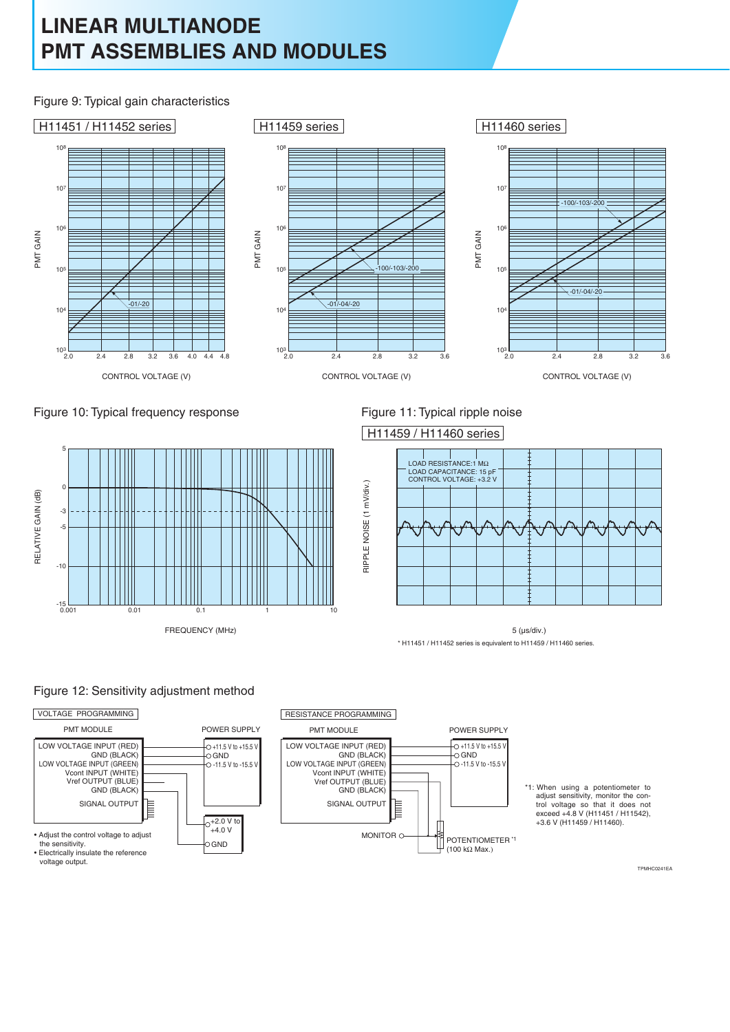Figure 9: Typical gain characteristics



RIPPLE NOISE (1 mV/div.)

RIPPLE NOISE (1 mV/div.)





# H11459 / H11460 series



5 (µs/div.) \* H11451 / H11452 series is equivalent to H11459 / H11460 series.

#### Figure 12: Sensitivity adjustment method



TPMHC0241EA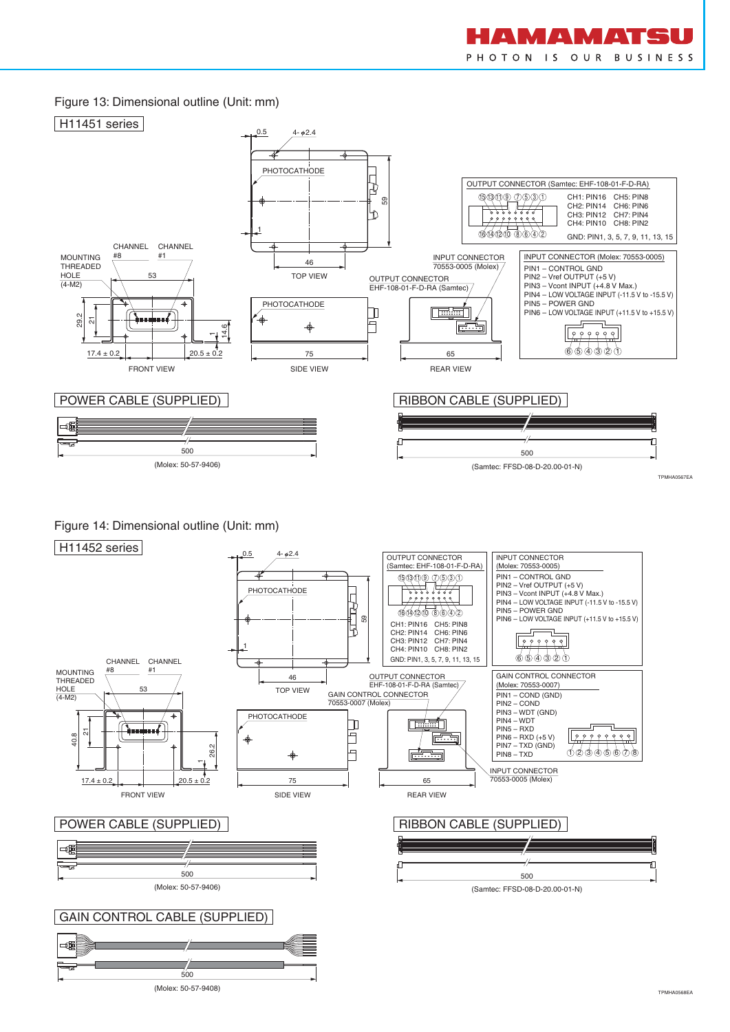#### Figure 13: Dimensional outline (Unit: mm)